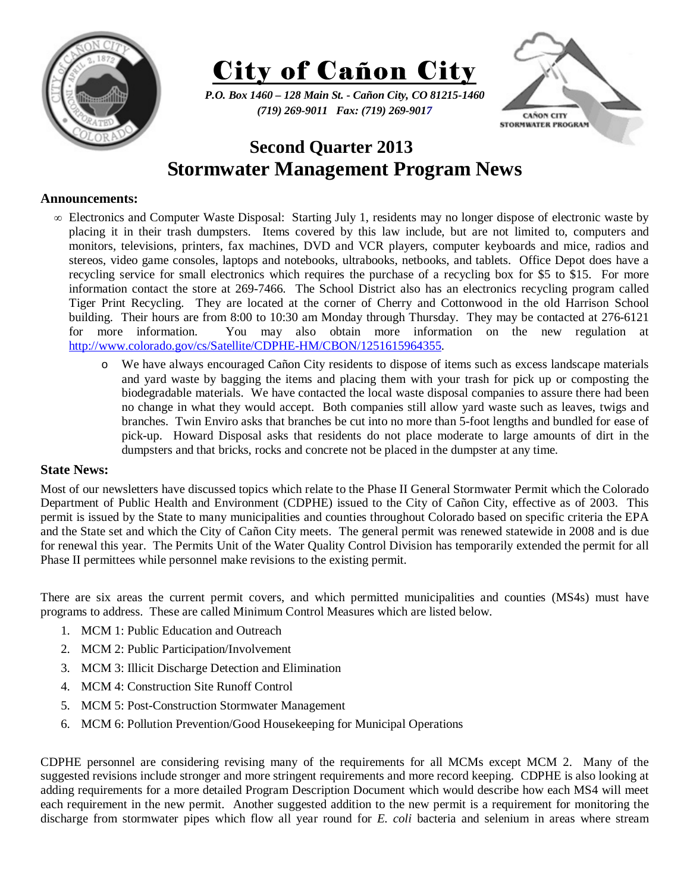



*P.O. Box 1460 – 128 Main St. - Cañon City, CO 81215-1460 (719) 269-9011 Fax: (719) 269-9017* 



## **Second Quarter 2013 Stormwater Management Program News**

## **Announcements:**

- ∞ Electronics and Computer Waste Disposal: Starting July 1, residents may no longer dispose of electronic waste by placing it in their trash dumpsters. Items covered by this law include, but are not limited to, computers and monitors, televisions, printers, fax machines, DVD and VCR players, computer keyboards and mice, radios and stereos, video game consoles, laptops and notebooks, ultrabooks, netbooks, and tablets. Office Depot does have a recycling service for small electronics which requires the purchase of a recycling box for \$5 to \$15. For more information contact the store at 269-7466. The School District also has an electronics recycling program called Tiger Print Recycling. They are located at the corner of Cherry and Cottonwood in the old Harrison School building. Their hours are from 8:00 to 10:30 am Monday through Thursday. They may be contacted at 276-6121 for more information. You may also obtain more information on the new regulation at http://www.colorado.gov/cs/Satellite/CDPHE-HM/CBON/1251615964355.
	- o We have always encouraged Cañon City residents to dispose of items such as excess landscape materials and yard waste by bagging the items and placing them with your trash for pick up or composting the biodegradable materials. We have contacted the local waste disposal companies to assure there had been no change in what they would accept. Both companies still allow yard waste such as leaves, twigs and branches. Twin Enviro asks that branches be cut into no more than 5-foot lengths and bundled for ease of pick-up. Howard Disposal asks that residents do not place moderate to large amounts of dirt in the dumpsters and that bricks, rocks and concrete not be placed in the dumpster at any time.

## **State News:**

Most of our newsletters have discussed topics which relate to the Phase II General Stormwater Permit which the Colorado Department of Public Health and Environment (CDPHE) issued to the City of Cañon City, effective as of 2003. This permit is issued by the State to many municipalities and counties throughout Colorado based on specific criteria the EPA and the State set and which the City of Cañon City meets. The general permit was renewed statewide in 2008 and is due for renewal this year. The Permits Unit of the Water Quality Control Division has temporarily extended the permit for all Phase II permittees while personnel make revisions to the existing permit.

There are six areas the current permit covers, and which permitted municipalities and counties (MS4s) must have programs to address. These are called Minimum Control Measures which are listed below.

- 1. MCM 1: Public Education and Outreach
- 2. MCM 2: Public Participation/Involvement
- 3. MCM 3: Illicit Discharge Detection and Elimination
- 4. MCM 4: Construction Site Runoff Control
- 5. MCM 5: Post-Construction Stormwater Management
- 6. MCM 6: Pollution Prevention/Good Housekeeping for Municipal Operations

CDPHE personnel are considering revising many of the requirements for all MCMs except MCM 2. Many of the suggested revisions include stronger and more stringent requirements and more record keeping. CDPHE is also looking at adding requirements for a more detailed Program Description Document which would describe how each MS4 will meet each requirement in the new permit. Another suggested addition to the new permit is a requirement for monitoring the discharge from stormwater pipes which flow all year round for *E. coli* bacteria and selenium in areas where stream